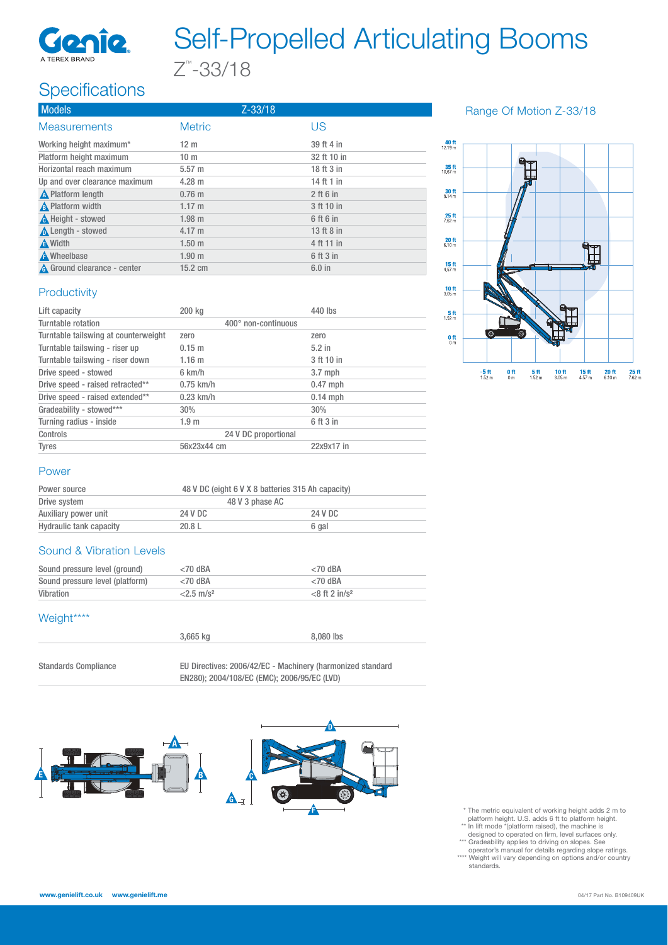

## Self-Propelled Articulating Booms Z™ -33/18

### Specifications

| <b>Models</b>                      |                   | $Z - 33/18$ |             |
|------------------------------------|-------------------|-------------|-------------|
| <b>Measurements</b>                | <b>Metric</b>     |             | US          |
| Working height maximum*            | 12 <sub>m</sub>   |             | 39 ft 4 in  |
| Platform height maximum            | 10 <sub>m</sub>   |             | 32 ft 10 in |
| Horizontal reach maximum           | $5.57 \; m$       |             | 18 ft 3 in  |
| Up and over clearance maximum      | $4.28 \text{ m}$  |             | 14 ft 1 in  |
| <b>A</b> Platform length           | $0.76$ m          |             | $2$ ft 6 in |
| A Platform width                   | 1.17 m            |             | 3 ft 10 in  |
| A Height - stowed                  | $1.98$ m          |             | 6 ft 6 in   |
| Length - stowed                    | $4.17 \; m$       |             | 13 ft 8 in  |
| A Width                            | 1.50 <sub>m</sub> |             | 4 ft 11 in  |
| A Wheelbase                        | 1.90 <sub>m</sub> |             | 6 ft 3 in   |
| <b>A</b> Ground clearance - center | $15.2 \text{ cm}$ |             | $6.0$ in    |

#### Range Of Motion Z-33/18



#### **Productivity**

| Lift capacity                        | 200 kg               | 440 lbs    |
|--------------------------------------|----------------------|------------|
| Turntable rotation                   | 400° non-continuous  |            |
| Turntable tailswing at counterweight | zero                 | zero       |
| Turntable tailswing - riser up       | $0.15 \; m$          | $5.2$ in   |
| Turntable tailswing - riser down     | 1.16 m               | 3 ft 10 in |
| Drive speed - stowed                 | 6 km/h               | $3.7$ mph  |
| Drive speed - raised retracted**     | $0.75$ km/h          | $0.47$ mph |
| Drive speed - raised extended**      | $0.23$ km/h          | $0.14$ mph |
| Gradeability - stowed***             | 30%                  | 30%        |
| Turning radius - inside              | 1.9 <sub>m</sub>     | 6 ft 3 in  |
| Controls                             | 24 V DC proportional |            |
| <b>Tyres</b>                         | 56x23x44 cm          | 22x9x17 in |

#### Power

| Power source                   |         | 48 V DC (eight 6 V X 8 batteries 315 Ah capacity) |  |  |
|--------------------------------|---------|---------------------------------------------------|--|--|
| Drive system                   |         | 48 V 3 phase AC                                   |  |  |
| Auxiliary power unit           | 24 V DC | 24 V DC                                           |  |  |
| <b>Hydraulic tank capacity</b> | 20.8L   | 6 gal                                             |  |  |

#### Sound & Vibration Levels

| Sound pressure level (ground)   | $<$ 70 dBA          | $<$ 70 dBA                   |
|---------------------------------|---------------------|------------------------------|
| Sound pressure level (platform) | $<$ 70 dBA          | $<$ 70 dBA                   |
| Vibration                       | $2.5 \text{ m/s}^2$ | $<$ 8 ft 2 in/s <sup>2</sup> |

#### Weight\*\*\*\*

|                             | 3.665 ka                                                   | 8,080 lbs |
|-----------------------------|------------------------------------------------------------|-----------|
|                             |                                                            |           |
| <b>Standards Compliance</b> | EU Directives: 2006/42/EC - Machinery (harmonized standard |           |

EN280); 2004/108/EC (EMC); 2006/95/EC (LVD)



- \* The metric equivalent of working height adds 2 m to
- 
- r platform height. U.S. adds 6 ft to platform height.<br>
\* In lift mode "(platform raised), the machine is<br>
designed to operated on firm, level surfaces only.<br>
\*\*\* Gradeability applies to driving on slopes. See<br>
operator's
- standards.